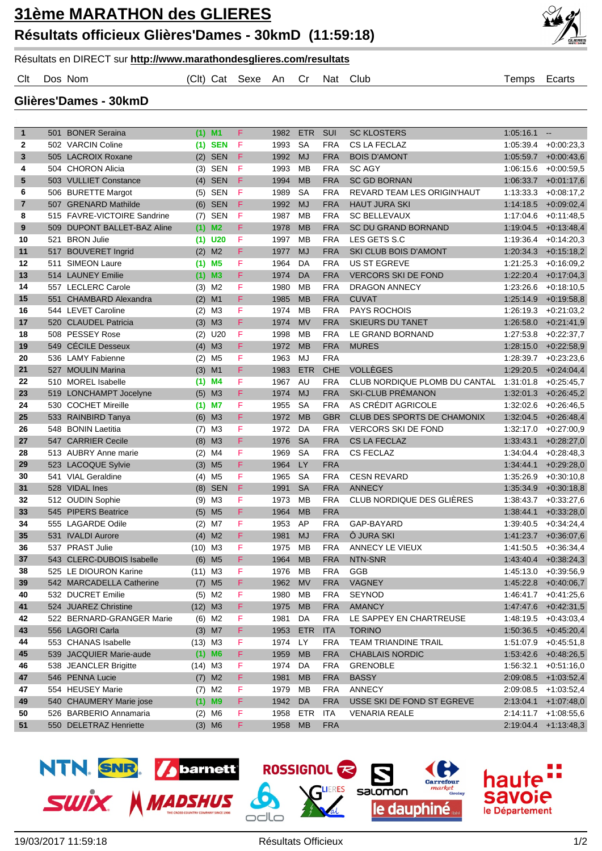

## Résultats en DIRECT sur **http://www.marathondesglieres.com/resultats**

Clt Dos Nom (Clt) Cat Sexe An Cr Nat Club Temps Ecarts

**Glières'Dames - 30kmD**

| $\mathbf{1}$   | 501 | <b>BONER Seraina</b>        |           | $(1)$ M1             | F  | 1982    | <b>ETR</b> | <b>SUI</b> | <b>SC KLOSTERS</b>                 | 1:05:16.1 | $\sim$                   |
|----------------|-----|-----------------------------|-----------|----------------------|----|---------|------------|------------|------------------------------------|-----------|--------------------------|
| $\mathbf{2}$   |     | 502 VARCIN Coline           | (1)       | <b>SEN</b>           | F  | 1993    | <b>SA</b>  | <b>FRA</b> | <b>CS LA FECLAZ</b>                | 1:05:39.4 | $+0.00:23.3$             |
| $\mathbf{3}$   |     | 505 LACROIX Roxane          | (2)       | <b>SEN</b>           | F  | 1992    | <b>MJ</b>  | <b>FRA</b> | <b>BOIS D'AMONT</b>                | 1:05:59.7 | $+0.00:43,6$             |
| 4              |     | 504 CHORON Alicia           | (3)       | <b>SEN</b>           | F  | 1993    | <b>MB</b>  | <b>FRA</b> | <b>SC AGY</b>                      | 1:06:15.6 | $+0.00.59.5$             |
| 5              |     | 503 VULLIET Constance       |           | $(4)$ SEN            | F  | 1994    | <b>MB</b>  | <b>FRA</b> | <b>SC GD BORNAN</b>                | 1:06:33.7 | $+0.01:17,6$             |
| 6              |     | 506 BURETTE Margot          | (5)       | SEN                  | F  | 1989    | <b>SA</b>  | <b>FRA</b> | <b>REVARD TEAM LES ORIGIN HAUT</b> | 1:13:33.3 | $+0.08:17,2$             |
| $\overline{7}$ |     | 507 GRENARD Mathilde        | (6)       | <b>SEN</b>           | F  | 1992    | <b>MJ</b>  | <b>FRA</b> | <b>HAUT JURA SKI</b>               | 1:14:18.5 | $+0.09:02,4$             |
| 8              |     | 515 FAVRE-VICTOIRE Sandrine | (7)       | <b>SEN</b>           | F  | 1987    | <b>MB</b>  | <b>FRA</b> | <b>SC BELLEVAUX</b>                | 1:17:04.6 | $+0.11:48,5$             |
| 9              |     | 509 DUPONT BALLET-BAZ Aline |           | $(1)$ M <sub>2</sub> | F  | 1978    | <b>MB</b>  | <b>FRA</b> | <b>SC DU GRAND BORNAND</b>         | 1:19:04.5 | $+0.13:48,4$             |
| 10             | 521 | <b>BRON Julie</b>           |           | $(1)$ U20            | F  | 1997    | MВ         | <b>FRA</b> | LES GETS S.C                       | 1:19:36.4 | $+0.14.20.3$             |
| 11             | 517 | <b>BOUVERET Ingrid</b>      |           | $(2)$ M <sub>2</sub> | F  | 1977    | <b>MJ</b>  | <b>FRA</b> | <b>SKI CLUB BOIS D'AMONT</b>       | 1:20:34.3 | $+0.15:18.2$             |
| 12             | 511 | <b>SIMEON Laure</b>         | (1)       | M <sub>5</sub>       | F  | 1964    | DA         | <b>FRA</b> | <b>US ST EGREVE</b>                | 1:21:25.3 | $+0.16.09,2$             |
| 13             |     | 514 LAUNEY Emilie           | (1)       | M <sub>3</sub>       | F  | 1974    | DA         | <b>FRA</b> | <b>VERCORS SKI DE FOND</b>         | 1:22:20.4 | $+0:17:04,3$             |
| 14             | 557 | <b>LECLERC Carole</b>       | (3)       | M <sub>2</sub>       | F  | 1980    | <b>MB</b>  | <b>FRA</b> | <b>DRAGON ANNECY</b>               | 1:23:26.6 | $+0.18:10,5$             |
| 15             | 551 | <b>CHAMBARD Alexandra</b>   | (2)       | M <sub>1</sub>       | F  | 1985    | <b>MB</b>  | <b>FRA</b> | <b>CUVAT</b>                       | 1:25:14.9 | $+0.19.58,8$             |
| 16             |     | 544 LEVET Caroline          | (2)       | M <sub>3</sub>       | F  | 1974    | MB         | <b>FRA</b> | <b>PAYS ROCHOIS</b>                | 1:26:19.3 | $+0.21:03.2$             |
| 17             |     | 520 CLAUDEL Patricia        | (3)       | M <sub>3</sub>       | F  | 1974    | <b>MV</b>  | <b>FRA</b> | <b>SKIEURS DU TANET</b>            | 1:26:58.0 | $+0.21:41,9$             |
| 18             |     | 508 PESSEY Rose             | (2)       | U20                  | F  | 1998    | MB         | <b>FRA</b> | LE GRAND BORNAND                   | 1:27:53.8 | $+0.22:37,7$             |
| 19             |     | 549 CÉCILE Desseux          |           | $(4)$ M3             | F  | 1972    | <b>MB</b>  | <b>FRA</b> | <b>MURES</b>                       | 1:28:15.0 | $+0.22:58,9$             |
| 20             |     | 536 LAMY Fabienne           | (2)       | M5                   | F  | 1963    | MJ         | <b>FRA</b> |                                    | 1:28:39.7 | $+0.23:23.6$             |
| 21             | 527 | <b>MOULIN Marina</b>        |           | $(3)$ M1             | F  | 1983    | <b>ETR</b> | <b>CHE</b> | <b>VOLLEGES</b>                    | 1:29:20.5 | $+0.24.04,4$             |
| 22             |     | 510 MOREL Isabelle          |           | $(1)$ M4             | F  | 1967    | AU         | <b>FRA</b> | CLUB NORDIQUE PLOMB DU CANTAL      | 1:31:01.8 | $+0.25:45,7$             |
| 23             | 519 | <b>LONCHAMPT Jocelyne</b>   | (5)       | M <sub>3</sub>       | F  | 1974    | <b>MJ</b>  | <b>FRA</b> | <b>SKI-CLUB PRÉMANON</b>           | 1:32:01.3 | $+0.26:45.2$             |
| 24             |     | 530 COCHET Mireille         |           | $(1)$ M7             | F  | 1955    | <b>SA</b>  | <b>FRA</b> | AS CRÉDIT AGRICOLE                 | 1:32:02.6 | $+0.26.46.5$             |
| 25             |     | 533 RAINBIRD Tanya          | (6)       | M <sub>3</sub>       | F  | 1972    | <b>MB</b>  | <b>GBR</b> | CLUB DES SPORTS DE CHAMONIX        | 1:32:04.5 | $+0.26:48,4$             |
| 26             |     | 548 BONIN Laetitia          | (7)       | ΜЗ                   | F  | 1972    | DA         | <b>FRA</b> | <b>VERCORS SKI DE FOND</b>         | 1:32:17.0 | $+0.27:00,9$             |
| 27             |     | 547 CARRIER Cecile          |           | $(8)$ M3             | F  | 1976    | <b>SA</b>  | <b>FRA</b> | <b>CS LA FECLAZ</b>                | 1:33:43.1 | $+0.28:27,0$             |
| 28             |     | 513 AUBRY Anne marie        |           | $(2)$ M4             | F  | 1969    | <b>SA</b>  | <b>FRA</b> | <b>CS FECLAZ</b>                   | 1:34:04.4 | $+0.28:48,3$             |
| 29             |     | 523 LACOQUE Sylvie          |           | $(3)$ M <sub>5</sub> | F  | 1964    | <b>LY</b>  | <b>FRA</b> |                                    | 1:34:44.1 | $+0.29:28,0$             |
| 30             |     | 541 VIAL Geraldine          |           | $(4)$ M <sub>5</sub> | F  | 1965    | <b>SA</b>  | <b>FRA</b> | <b>CESN REVARD</b>                 | 1:35:26.9 | $+0.30:10,8$             |
| 31             |     | 528 VIDAL Ines              | (8)       | <b>SEN</b>           | F  | 1991    | <b>SA</b>  | <b>FRA</b> | <b>ANNECY</b>                      | 1:35:34.9 | $+0.30.18,8$             |
| 32             |     | 512 OUDIN Sophie            |           | $(9)$ M3             | F  | 1973    | MB         | <b>FRA</b> | CLUB NORDIQUE DES GLIÈRES          | 1:38:43.7 | $+0.33:27,6$             |
| 33             |     | 545 PIPERS Beatrice         |           | $(5)$ M <sub>5</sub> | F  | 1964    | <b>MB</b>  | <b>FRA</b> |                                    | 1:38:44.1 | $+0.33:28,0$             |
| 34             |     | 555 LAGARDE Odile           | (2)       | M7                   | F  | 1953    | AP         | <b>FRA</b> | GAP-BAYARD                         | 1:39:40.5 | $+0.34:24,4$             |
| 35             |     | 531 IVALDI Aurore           | (4)       | M <sub>2</sub>       | F  | 1981    | <b>MJ</b>  | <b>FRA</b> | Ô JURA SKI                         | 1:41:23.7 | $+0.36:07,6$             |
| 36             |     | 537 PRAST Julie             | (10)      | M <sub>3</sub>       | F  | 1975    | <b>MB</b>  | <b>FRA</b> | ANNECY LE VIEUX                    | 1:41:50.5 | $+0.36.34,4$             |
| 37             |     | 543 CLERC-DUBOIS Isabelle   | (6)       | M <sub>5</sub>       | F  | 1964    | <b>MB</b>  | <b>FRA</b> | NTN-SNR                            |           | $1:43:40.4$ +0:38:24,3   |
| 38             |     | 525 LE DIOURON Karine       | $(11)$ M3 |                      | F  | 1976    | MB         | <b>FRA</b> | GGB                                |           | 1:45:13.0 +0:39:56,9     |
| 39             |     | 542 MARCADELLA Catherine    |           | $(7)$ M <sub>5</sub> | F. | 1962 MV |            |            | FRA VAGNEY                         |           | $1:45:22.8$ +0:40:06,7   |
| 40             |     | 532 DUCRET Emilie           |           | $(5)$ M2             | F  | 1980    | МB         | <b>FRA</b> | <b>SEYNOD</b>                      |           | $1:46:41.7$ $+0:41:25.6$ |
| 41             |     | 524 JUAREZ Christine        | $(12)$ M3 |                      | F  | 1975 MB |            | <b>FRA</b> | <b>AMANCY</b>                      |           | $1:47:47.6$ +0:42:31,5   |
| 42             |     | 522 BERNARD-GRANGER Marie   |           | $(6)$ M2             | F  | 1981    | DA         | <b>FRA</b> | LE SAPPEY EN CHARTREUSE            |           | $1:48:19.5 + 0:43:03,4$  |
| 43             |     | 556 LAGORI Carla            |           | $(3)$ M7             | F  | 1953    | <b>ETR</b> | <b>ITA</b> | <b>TORINO</b>                      |           | $1:50:36.5$ +0:45:20,4   |
| 44             |     | 553 CHANAS Isabelle         | $(13)$ M3 |                      | F  | 1974    | LY         | <b>FRA</b> | TEAM TRIANDINE TRAIL               |           | $1:51:07.9$ +0:45:51,8   |
| 45             |     | 539 JACQUIER Marie-aude     |           | $(1)$ M6             | F  | 1959    | <b>MB</b>  | <b>FRA</b> | <b>CHABLAIS NORDIC</b>             |           | $1:53:42.6$ +0:48:26,5   |
| 46             |     | 538 JEANCLER Brigitte       | $(14)$ M3 |                      | F  | 1974    | DA         | <b>FRA</b> | <b>GRENOBLE</b>                    | 1:56:32.1 | $+0.51:16,0$             |
| 47             |     | 546 PENNA Lucie             |           | $(7)$ M2             | F  | 1981    | <b>MB</b>  | <b>FRA</b> | <b>BASSY</b>                       |           | $2:09:08.5$ +1:03:52,4   |
| 47             |     | 554 HEUSEY Marie            |           | $(7)$ M2             | F  | 1979    | MB         | <b>FRA</b> | <b>ANNECY</b>                      |           | $2:09:08.5$ +1:03:52,4   |
| 49             |     | 540 CHAUMERY Marie jose     |           | $(1)$ M9             | F  | 1942    | DA         | <b>FRA</b> | USSE SKI DE FOND ST EGREVE         |           | $2:13:04.1$ +1:07:48,0   |
| 50             |     | 526 BARBERIO Annamaria      |           | $(2)$ M6             | F  | 1958    | <b>ETR</b> | <b>ITA</b> | <b>VENARIA REALE</b>               |           | $2:14:11.7$ +1:08:55,6   |
| 51             |     | 550 DELETRAZ Henriette      |           | $(3)$ M6             | F  | 1958    | <b>MB</b>  | <b>FRA</b> |                                    |           | $2:19:04.4$ +1:13:48,3   |